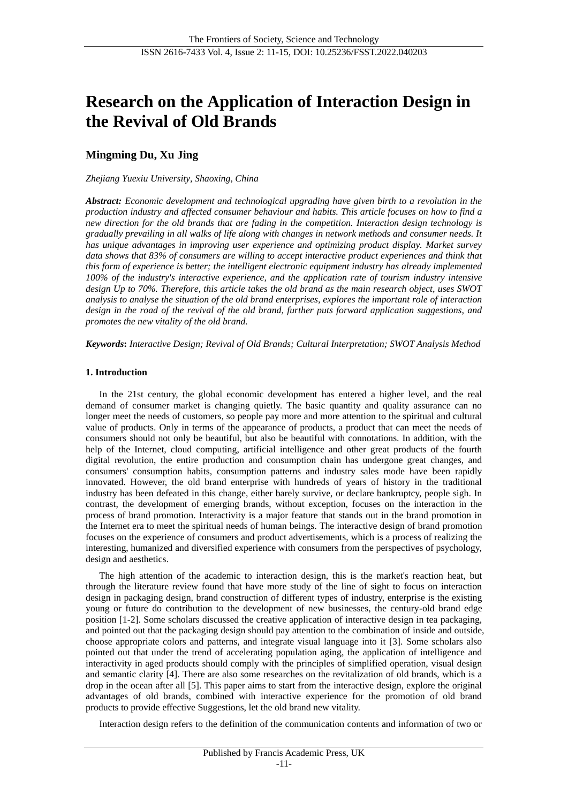# **Research on the Application of Interaction Design in the Revival of Old Brands**

# **Mingming Du, Xu Jing**

*Zhejiang Yuexiu University, Shaoxing, China*

*Abstract: Economic development and technological upgrading have given birth to a revolution in the production industry and affected consumer behaviour and habits. This article focuses on how to find a new direction for the old brands that are fading in the competition. Interaction design technology is gradually prevailing in all walks of life along with changes in network methods and consumer needs. It has unique advantages in improving user experience and optimizing product display. Market survey data shows that 83% of consumers are willing to accept interactive product experiences and think that this form of experience is better; the intelligent electronic equipment industry has already implemented 100% of the industry's interactive experience, and the application rate of tourism industry intensive design Up to 70%. Therefore, this article takes the old brand as the main research object, uses SWOT analysis to analyse the situation of the old brand enterprises, explores the important role of interaction design in the road of the revival of the old brand, further puts forward application suggestions, and promotes the new vitality of the old brand.*

*Keywords***:** *Interactive Design; Revival of Old Brands; Cultural Interpretation; SWOT Analysis Method*

## **1. Introduction**

In the 21st century, the global economic development has entered a higher level, and the real demand of consumer market is changing quietly. The basic quantity and quality assurance can no longer meet the needs of customers, so people pay more and more attention to the spiritual and cultural value of products. Only in terms of the appearance of products, a product that can meet the needs of consumers should not only be beautiful, but also be beautiful with connotations. In addition, with the help of the Internet, cloud computing, artificial intelligence and other great products of the fourth digital revolution, the entire production and consumption chain has undergone great changes, and consumers' consumption habits, consumption patterns and industry sales mode have been rapidly innovated. However, the old brand enterprise with hundreds of years of history in the traditional industry has been defeated in this change, either barely survive, or declare bankruptcy, people sigh. In contrast, the development of emerging brands, without exception, focuses on the interaction in the process of brand promotion. Interactivity is a major feature that stands out in the brand promotion in the Internet era to meet the spiritual needs of human beings. The interactive design of brand promotion focuses on the experience of consumers and product advertisements, which is a process of realizing the interesting, humanized and diversified experience with consumers from the perspectives of psychology, design and aesthetics.

The high attention of the academic to interaction design, this is the market's reaction heat, but through the literature review found that have more study of the line of sight to focus on interaction design in packaging design, brand construction of different types of industry, enterprise is the existing young or future do contribution to the development of new businesses, the century-old brand edge position [1-2]. Some scholars discussed the creative application of interactive design in tea packaging, and pointed out that the packaging design should pay attention to the combination of inside and outside, choose appropriate colors and patterns, and integrate visual language into it [3]. Some scholars also pointed out that under the trend of accelerating population aging, the application of intelligence and interactivity in aged products should comply with the principles of simplified operation, visual design and semantic clarity [4]. There are also some researches on the revitalization of old brands, which is a drop in the ocean after all [5]. This paper aims to start from the interactive design, explore the original advantages of old brands, combined with interactive experience for the promotion of old brand products to provide effective Suggestions, let the old brand new vitality.

Interaction design refers to the definition of the communication contents and information of two or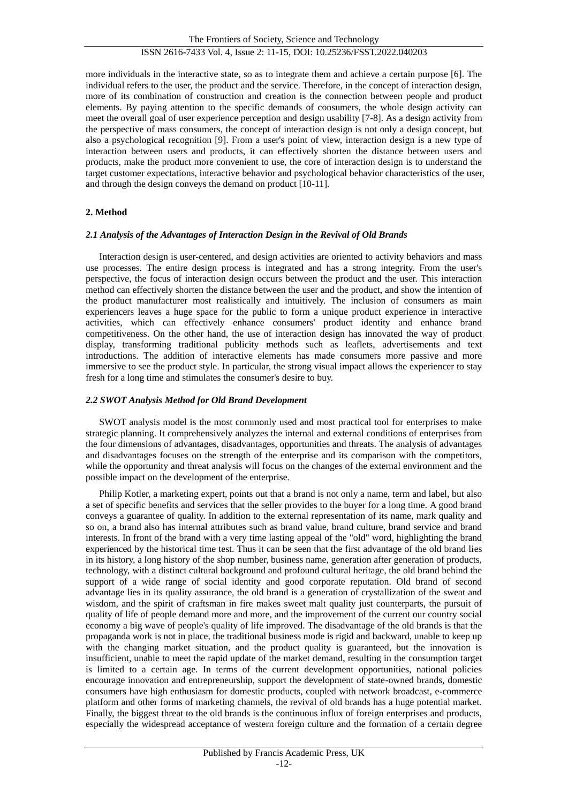more individuals in the interactive state, so as to integrate them and achieve a certain purpose [6]. The individual refers to the user, the product and the service. Therefore, in the concept of interaction design, more of its combination of construction and creation is the connection between people and product elements. By paying attention to the specific demands of consumers, the whole design activity can meet the overall goal of user experience perception and design usability [7-8]. As a design activity from the perspective of mass consumers, the concept of interaction design is not only a design concept, but also a psychological recognition [9]. From a user's point of view, interaction design is a new type of interaction between users and products, it can effectively shorten the distance between users and products, make the product more convenient to use, the core of interaction design is to understand the target customer expectations, interactive behavior and psychological behavior characteristics of the user, and through the design conveys the demand on product [10-11].

# **2. Method**

## *2.1 Analysis of the Advantages of Interaction Design in the Revival of Old Brands*

Interaction design is user-centered, and design activities are oriented to activity behaviors and mass use processes. The entire design process is integrated and has a strong integrity. From the user's perspective, the focus of interaction design occurs between the product and the user. This interaction method can effectively shorten the distance between the user and the product, and show the intention of the product manufacturer most realistically and intuitively. The inclusion of consumers as main experiencers leaves a huge space for the public to form a unique product experience in interactive activities, which can effectively enhance consumers' product identity and enhance brand competitiveness. On the other hand, the use of interaction design has innovated the way of product display, transforming traditional publicity methods such as leaflets, advertisements and text introductions. The addition of interactive elements has made consumers more passive and more immersive to see the product style. In particular, the strong visual impact allows the experiencer to stay fresh for a long time and stimulates the consumer's desire to buy.

## *2.2 SWOT Analysis Method for Old Brand Development*

SWOT analysis model is the most commonly used and most practical tool for enterprises to make strategic planning. It comprehensively analyzes the internal and external conditions of enterprises from the four dimensions of advantages, disadvantages, opportunities and threats. The analysis of advantages and disadvantages focuses on the strength of the enterprise and its comparison with the competitors, while the opportunity and threat analysis will focus on the changes of the external environment and the possible impact on the development of the enterprise.

Philip Kotler, a marketing expert, points out that a brand is not only a name, term and label, but also a set of specific benefits and services that the seller provides to the buyer for a long time. A good brand conveys a guarantee of quality. In addition to the external representation of its name, mark quality and so on, a brand also has internal attributes such as brand value, brand culture, brand service and brand interests. In front of the brand with a very time lasting appeal of the "old" word, highlighting the brand experienced by the historical time test. Thus it can be seen that the first advantage of the old brand lies in its history, a long history of the shop number, business name, generation after generation of products, technology, with a distinct cultural background and profound cultural heritage, the old brand behind the support of a wide range of social identity and good corporate reputation. Old brand of second advantage lies in its quality assurance, the old brand is a generation of crystallization of the sweat and wisdom, and the spirit of craftsman in fire makes sweet malt quality just counterparts, the pursuit of quality of life of people demand more and more, and the improvement of the current our country social economy a big wave of people's quality of life improved. The disadvantage of the old brands is that the propaganda work is not in place, the traditional business mode is rigid and backward, unable to keep up with the changing market situation, and the product quality is guaranteed, but the innovation is insufficient, unable to meet the rapid update of the market demand, resulting in the consumption target is limited to a certain age. In terms of the current development opportunities, national policies encourage innovation and entrepreneurship, support the development of state-owned brands, domestic consumers have high enthusiasm for domestic products, coupled with network broadcast, e-commerce platform and other forms of marketing channels, the revival of old brands has a huge potential market. Finally, the biggest threat to the old brands is the continuous influx of foreign enterprises and products, especially the widespread acceptance of western foreign culture and the formation of a certain degree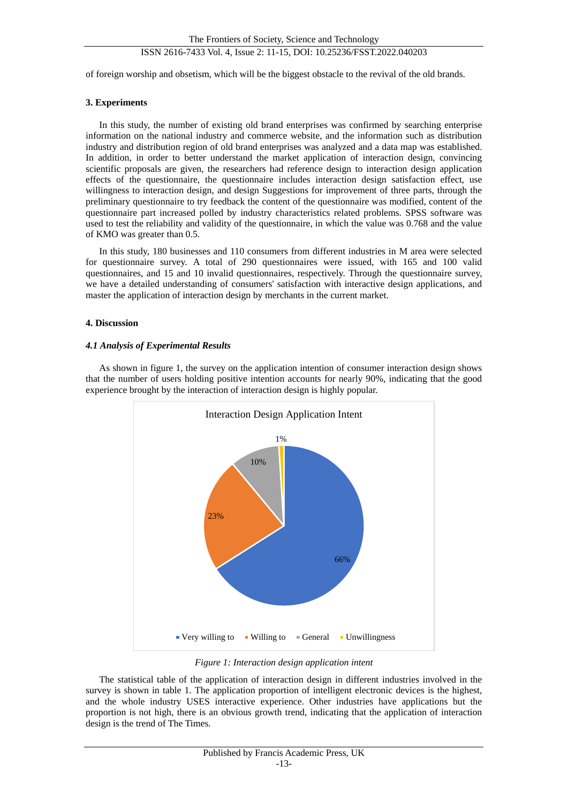# ISSN 2616-7433 Vol. 4, Issue 2: 11-15, DOI: 10.25236/FSST.2022.040203

of foreign worship and obsetism, which will be the biggest obstacle to the revival of the old brands.

## **3. Experiments**

In this study, the number of existing old brand enterprises was confirmed by searching enterprise information on the national industry and commerce website, and the information such as distribution industry and distribution region of old brand enterprises was analyzed and a data map was established. In addition, in order to better understand the market application of interaction design, convincing scientific proposals are given, the researchers had reference design to interaction design application effects of the questionnaire, the questionnaire includes interaction design satisfaction effect, use willingness to interaction design, and design Suggestions for improvement of three parts, through the preliminary questionnaire to try feedback the content of the questionnaire was modified, content of the questionnaire part increased polled by industry characteristics related problems. SPSS software was used to test the reliability and validity of the questionnaire, in which the value was 0.768 and the value of KMO was greater than 0.5.

In this study, 180 businesses and 110 consumers from different industries in M area were selected for questionnaire survey. A total of 290 questionnaires were issued, with 165 and 100 valid questionnaires, and 15 and 10 invalid questionnaires, respectively. Through the questionnaire survey, we have a detailed understanding of consumers' satisfaction with interactive design applications, and master the application of interaction design by merchants in the current market.

## **4. Discussion**

## *4.1 Analysis of Experimental Results*

As shown in figure 1, the survey on the application intention of consumer interaction design shows that the number of users holding positive intention accounts for nearly 90%, indicating that the good experience brought by the interaction of interaction design is highly popular.



*Figure 1: Interaction design application intent*

The statistical table of the application of interaction design in different industries involved in the survey is shown in table 1. The application proportion of intelligent electronic devices is the highest, and the whole industry USES interactive experience. Other industries have applications but the proportion is not high, there is an obvious growth trend, indicating that the application of interaction design is the trend of The Times.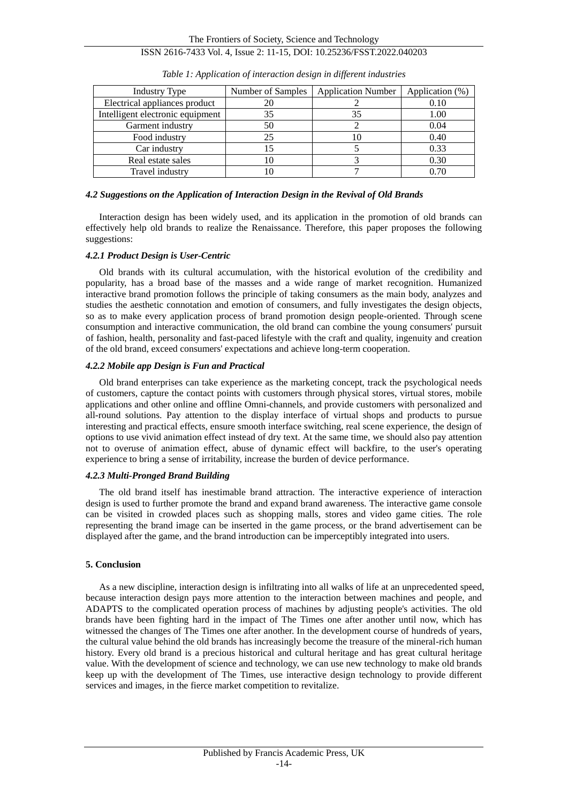The Frontiers of Society, Science and Technology ISSN 2616-7433 Vol. 4, Issue 2: 11-15, DOI: 10.25236/FSST.2022.040203

| Industry Type                    | Number of Samples | <b>Application Number</b> | Application (%) |
|----------------------------------|-------------------|---------------------------|-----------------|
| Electrical appliances product    | 20                |                           | 0.10            |
| Intelligent electronic equipment | 35                |                           | 1.00            |
| Garment industry                 | 50                |                           | 0.04            |
| Food industry                    | 25                |                           | 0.40            |
| Car industry                     |                   |                           | 0.33            |
| Real estate sales                | Ю                 |                           | 0.30            |
| Travel industry                  |                   |                           |                 |

*Table 1: Application of interaction design in different industries*

#### *4.2 Suggestions on the Application of Interaction Design in the Revival of Old Brands*

Interaction design has been widely used, and its application in the promotion of old brands can effectively help old brands to realize the Renaissance. Therefore, this paper proposes the following suggestions:

#### *4.2.1 Product Design is User-Centric*

Old brands with its cultural accumulation, with the historical evolution of the credibility and popularity, has a broad base of the masses and a wide range of market recognition. Humanized interactive brand promotion follows the principle of taking consumers as the main body, analyzes and studies the aesthetic connotation and emotion of consumers, and fully investigates the design objects, so as to make every application process of brand promotion design people-oriented. Through scene consumption and interactive communication, the old brand can combine the young consumers' pursuit of fashion, health, personality and fast-paced lifestyle with the craft and quality, ingenuity and creation of the old brand, exceed consumers' expectations and achieve long-term cooperation.

#### *4.2.2 Mobile app Design is Fun and Practical*

Old brand enterprises can take experience as the marketing concept, track the psychological needs of customers, capture the contact points with customers through physical stores, virtual stores, mobile applications and other online and offline Omni-channels, and provide customers with personalized and all-round solutions. Pay attention to the display interface of virtual shops and products to pursue interesting and practical effects, ensure smooth interface switching, real scene experience, the design of options to use vivid animation effect instead of dry text. At the same time, we should also pay attention not to overuse of animation effect, abuse of dynamic effect will backfire, to the user's operating experience to bring a sense of irritability, increase the burden of device performance.

#### *4.2.3 Multi-Pronged Brand Building*

The old brand itself has inestimable brand attraction. The interactive experience of interaction design is used to further promote the brand and expand brand awareness. The interactive game console can be visited in crowded places such as shopping malls, stores and video game cities. The role representing the brand image can be inserted in the game process, or the brand advertisement can be displayed after the game, and the brand introduction can be imperceptibly integrated into users.

#### **5. Conclusion**

As a new discipline, interaction design is infiltrating into all walks of life at an unprecedented speed, because interaction design pays more attention to the interaction between machines and people, and ADAPTS to the complicated operation process of machines by adjusting people's activities. The old brands have been fighting hard in the impact of The Times one after another until now, which has witnessed the changes of The Times one after another. In the development course of hundreds of years, the cultural value behind the old brands has increasingly become the treasure of the mineral-rich human history. Every old brand is a precious historical and cultural heritage and has great cultural heritage value. With the development of science and technology, we can use new technology to make old brands keep up with the development of The Times, use interactive design technology to provide different services and images, in the fierce market competition to revitalize.